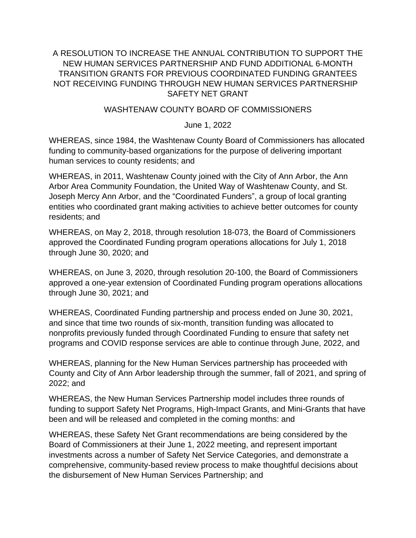## A RESOLUTION TO INCREASE THE ANNUAL CONTRIBUTION TO SUPPORT THE NEW HUMAN SERVICES PARTNERSHIP AND FUND ADDITIONAL 6-MONTH TRANSITION GRANTS FOR PREVIOUS COORDINATED FUNDING GRANTEES NOT RECEIVING FUNDING THROUGH NEW HUMAN SERVICES PARTNERSHIP SAFETY NET GRANT

## WASHTENAW COUNTY BOARD OF COMMISSIONERS

June 1, 2022

WHEREAS, since 1984, the Washtenaw County Board of Commissioners has allocated funding to community-based organizations for the purpose of delivering important human services to county residents; and

WHEREAS, in 2011, Washtenaw County joined with the City of Ann Arbor, the Ann Arbor Area Community Foundation, the United Way of Washtenaw County, and St. Joseph Mercy Ann Arbor, and the "Coordinated Funders", a group of local granting entities who coordinated grant making activities to achieve better outcomes for county residents; and

WHEREAS, on May 2, 2018, through resolution 18-073, the Board of Commissioners approved the Coordinated Funding program operations allocations for July 1, 2018 through June 30, 2020; and

WHEREAS, on June 3, 2020, through resolution 20-100, the Board of Commissioners approved a one-year extension of Coordinated Funding program operations allocations through June 30, 2021; and

WHEREAS, Coordinated Funding partnership and process ended on June 30, 2021, and since that time two rounds of six-month, transition funding was allocated to nonprofits previously funded through Coordinated Funding to ensure that safety net programs and COVID response services are able to continue through June, 2022, and

WHEREAS, planning for the New Human Services partnership has proceeded with County and City of Ann Arbor leadership through the summer, fall of 2021, and spring of 2022; and

WHEREAS, the New Human Services Partnership model includes three rounds of funding to support Safety Net Programs, High-Impact Grants, and Mini-Grants that have been and will be released and completed in the coming months: and

WHEREAS, these Safety Net Grant recommendations are being considered by the Board of Commissioners at their June 1, 2022 meeting, and represent important investments across a number of Safety Net Service Categories, and demonstrate a comprehensive, community-based review process to make thoughtful decisions about the disbursement of New Human Services Partnership; and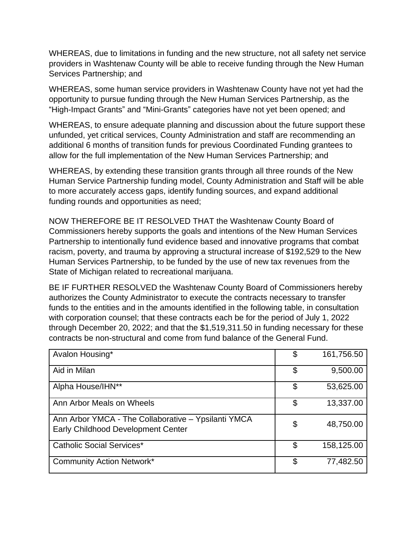WHEREAS, due to limitations in funding and the new structure, not all safety net service providers in Washtenaw County will be able to receive funding through the New Human Services Partnership; and

WHEREAS, some human service providers in Washtenaw County have not yet had the opportunity to pursue funding through the New Human Services Partnership, as the "High-Impact Grants" and "Mini-Grants" categories have not yet been opened; and

WHEREAS, to ensure adequate planning and discussion about the future support these unfunded, yet critical services, County Administration and staff are recommending an additional 6 months of transition funds for previous Coordinated Funding grantees to allow for the full implementation of the New Human Services Partnership; and

WHEREAS, by extending these transition grants through all three rounds of the New Human Service Partnership funding model, County Administration and Staff will be able to more accurately access gaps, identify funding sources, and expand additional funding rounds and opportunities as need;

NOW THEREFORE BE IT RESOLVED THAT the Washtenaw County Board of Commissioners hereby supports the goals and intentions of the New Human Services Partnership to intentionally fund evidence based and innovative programs that combat racism, poverty, and trauma by approving a structural increase of \$192,529 to the New Human Services Partnership, to be funded by the use of new tax revenues from the State of Michigan related to recreational marijuana.

BE IF FURTHER RESOLVED the Washtenaw County Board of Commissioners hereby authorizes the County Administrator to execute the contracts necessary to transfer funds to the entities and in the amounts identified in the following table, in consultation with corporation counsel; that these contracts each be for the period of July 1, 2022 through December 20, 2022; and that the \$1,519,311.50 in funding necessary for these contracts be non-structural and come from fund balance of the General Fund.

| Avalon Housing*                                                                                  | \$<br>161,756.50 |
|--------------------------------------------------------------------------------------------------|------------------|
| Aid in Milan                                                                                     | \$<br>9,500.00   |
| Alpha House/IHN**                                                                                | \$<br>53,625.00  |
| Ann Arbor Meals on Wheels                                                                        | \$<br>13,337.00  |
| Ann Arbor YMCA - The Collaborative - Ypsilanti YMCA<br><b>Early Childhood Development Center</b> | \$<br>48,750.00  |
| <b>Catholic Social Services*</b>                                                                 | \$<br>158,125.00 |
| <b>Community Action Network*</b>                                                                 | \$<br>77,482.50  |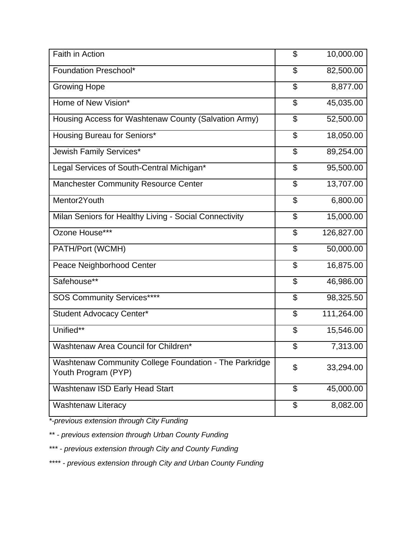| Faith in Action                                                               | \$                       | 10,000.00  |
|-------------------------------------------------------------------------------|--------------------------|------------|
| Foundation Preschool*                                                         | \$                       | 82,500.00  |
| <b>Growing Hope</b>                                                           | \$                       | 8,877.00   |
| Home of New Vision*                                                           | \$                       | 45,035.00  |
| Housing Access for Washtenaw County (Salvation Army)                          | \$                       | 52,500.00  |
| Housing Bureau for Seniors*                                                   | \$                       | 18,050.00  |
| Jewish Family Services*                                                       | \$                       | 89,254.00  |
| Legal Services of South-Central Michigan*                                     | \$                       | 95,500.00  |
| <b>Manchester Community Resource Center</b>                                   | \$                       | 13,707.00  |
| Mentor <sub>2Youth</sub>                                                      | \$                       | 6,800.00   |
| Milan Seniors for Healthy Living - Social Connectivity                        | \$                       | 15,000.00  |
| Ozone House***                                                                | \$                       | 126,827.00 |
| PATH/Port (WCMH)                                                              | \$                       | 50,000.00  |
| Peace Neighborhood Center                                                     | \$                       | 16,875.00  |
| Safehouse**                                                                   | \$                       | 46,986.00  |
| <b>SOS Community Services****</b>                                             | $\overline{\mathcal{L}}$ | 98,325.50  |
| <b>Student Advocacy Center*</b>                                               | \$                       | 111,264.00 |
| Unified**                                                                     | \$                       | 15,546.00  |
| Washtenaw Area Council for Children*                                          | \$                       | 7,313.00   |
| Washtenaw Community College Foundation - The Parkridge<br>Youth Program (PYP) | \$                       | 33,294.00  |
| Washtenaw ISD Early Head Start                                                | \$                       | 45,000.00  |
| <b>Washtenaw Literacy</b>                                                     | \$                       | 8,082.00   |

*\*-previous extension through City Funding*

*\*\* - previous extension through Urban County Funding*

*\*\*\* - previous extension through City and County Funding*

*\*\*\*\* - previous extension through City and Urban County Funding*